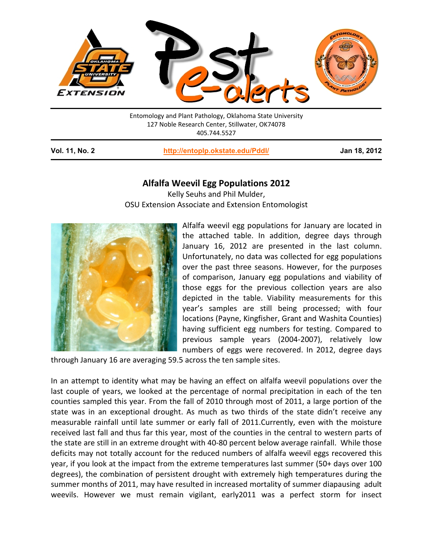

Entomology and Plant Pathology, Oklahoma State University 127 Noble Research Center, Stillwater, OK74078 405.744.5527

**Vol. 11, No. 2 <http://entoplp.okstate.edu/Pddl/> Jan 18, 2012**

## **Alfalfa Weevil Egg Populations 2012**

Kelly Seuhs and Phil Mulder, OSU Extension Associate and Extension Entomologist



Alfalfa weevil egg populations for January are located in the attached table. In addition, degree days through January 16, 2012 are presented in the last column. Unfortunately, no data was collected for egg populations over the past three seasons. However, for the purposes of comparison, January egg populations and viability of those eggs for the previous collection years are also depicted in the table. Viability measurements for this year's samples are still being processed; with four locations (Payne, Kingfisher, Grant and Washita Counties) having sufficient egg numbers for testing. Compared to previous sample years (2004-2007), relatively low numbers of eggs were recovered. In 2012, degree days

through January 16 are averaging 59.5 across the ten sample sites.

In an attempt to identity what may be having an effect on alfalfa weevil populations over the last couple of years, we looked at the percentage of normal precipitation in each of the ten counties sampled this year. From the fall of 2010 through most of 2011, a large portion of the state was in an exceptional drought. As much as two thirds of the state didn't receive any measurable rainfall until late summer or early fall of 2011.Currently, even with the moisture received last fall and thus far this year, most of the counties in the central to western parts of the state are still in an extreme drought with 40-80 percent below average rainfall. While those deficits may not totally account for the reduced numbers of alfalfa weevil eggs recovered this year, if you look at the impact from the extreme temperatures last summer (50+ days over 100 degrees), the combination of persistent drought with extremely high temperatures during the summer months of 2011, may have resulted in increased mortality of summer diapausing adult weevils. However we must remain vigilant, early2011 was a perfect storm for insect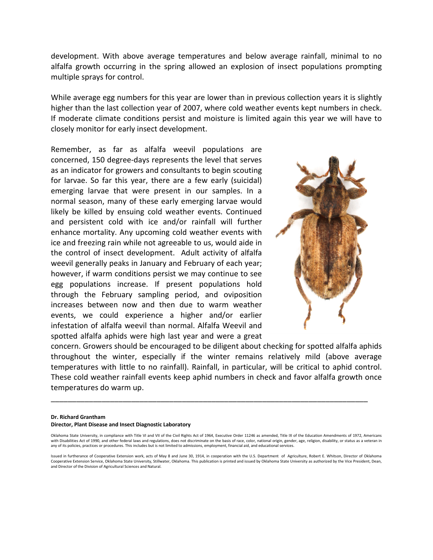development. With above average temperatures and below average rainfall, minimal to no alfalfa growth occurring in the spring allowed an explosion of insect populations prompting multiple sprays for control.

While average egg numbers for this year are lower than in previous collection years it is slightly higher than the last collection year of 2007, where cold weather events kept numbers in check. If moderate climate conditions persist and moisture is limited again this year we will have to closely monitor for early insect development.

Remember, as far as alfalfa weevil populations are concerned, 150 degree-days represents the level that serves as an indicator for growers and consultants to begin scouting for larvae. So far this year, there are a few early (suicidal) emerging larvae that were present in our samples. In a normal season, many of these early emerging larvae would likely be killed by ensuing cold weather events. Continued and persistent cold with ice and/or rainfall will further enhance mortality. Any upcoming cold weather events with ice and freezing rain while not agreeable to us, would aide in the control of insect development. Adult activity of alfalfa weevil generally peaks in January and February of each year; however, if warm conditions persist we may continue to see egg populations increase. If present populations hold through the February sampling period, and oviposition increases between now and then due to warm weather events, we could experience a higher and/or earlier infestation of alfalfa weevil than normal. Alfalfa Weevil and spotted alfalfa aphids were high last year and were a great



concern. Growers should be encouraged to be diligent about checking for spotted alfalfa aphids throughout the winter, especially if the winter remains relatively mild (above average temperatures with little to no rainfall). Rainfall, in particular, will be critical to aphid control. These cold weather rainfall events keep aphid numbers in check and favor alfalfa growth once temperatures do warm up.

\_\_\_\_\_\_\_\_\_\_\_\_\_\_\_\_\_\_\_\_\_\_\_\_\_\_\_\_\_\_\_\_\_\_\_\_\_\_\_\_\_\_\_\_\_\_\_\_\_\_\_\_\_\_\_\_\_\_\_\_\_\_\_\_\_\_\_\_\_\_\_\_\_\_\_

## **Dr. Richard Grantham Director, Plant Disease and Insect Diagnostic Laboratory**

Oklahoma State University, in compliance with Title VI and VII of the Civil Rights Act of 1964, Executive Order 11246 as amended, Title IX of the Education Amendments of 1972, Americans with Disabilities Act of 1990, and other federal laws and regulations, does not discriminate on the basis of race, color, national origin, gender, age, religion, disability, or status as a veteran in any of its policies, practices or procedures. This includes but is not limited to admissions, employment, financial aid, and educational services.

Issued in furtherance of Cooperative Extension work, acts of May 8 and June 30, 1914, in cooperation with the U.S. Department of Agriculture, Robert E. Whitson, Director of Oklahoma Cooperative Extension Service, Oklahoma State University, Stillwater, Oklahoma. This publication is printed and issued by Oklahoma State University as authorized by the Vice President, Dean, and Director of the Division of Agricultural Sciences and Natural.